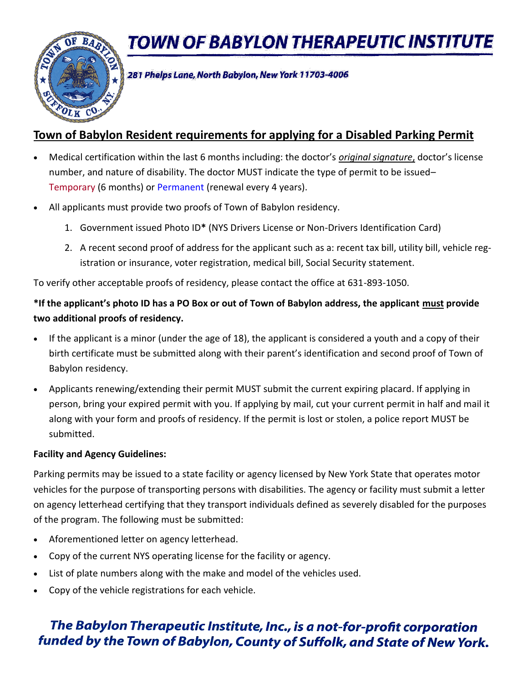**TOWN OF BABYLON THERAPEUTIC INSTITUTE** 



281 Phelps Lane, North Babylon, New York 11703-4006

## **Town of Babylon Resident requirements for applying for a Disabled Parking Permit**

- Medical certification within the last 6 months including: the doctor's *original signature*, doctor's license number, and nature of disability. The doctor MUST indicate the type of permit to be issued– Temporary (6 months) or Permanent (renewal every 4 years).
- All applicants must provide two proofs of Town of Babylon residency.
	- 1. Government issued Photo ID**\*** (NYS Drivers License or Non-Drivers Identification Card)
	- 2. A recent second proof of address for the applicant such as a: recent tax bill, utility bill, vehicle registration or insurance, voter registration, medical bill, Social Security statement.

To verify other acceptable proofs of residency, please contact the office at 631-893-1050.

## **\*If the applicant's photo ID has a PO Box or out of Town of Babylon address, the applicant must provide two additional proofs of residency.**

- If the applicant is a minor (under the age of 18), the applicant is considered a youth and a copy of their birth certificate must be submitted along with their parent's identification and second proof of Town of Babylon residency.
- Applicants renewing/extending their permit MUST submit the current expiring placard. If applying in person, bring your expired permit with you. If applying by mail, cut your current permit in half and mail it along with your form and proofs of residency. If the permit is lost or stolen, a police report MUST be submitted.

### **Facility and Agency Guidelines:**

Parking permits may be issued to a state facility or agency licensed by New York State that operates motor vehicles for the purpose of transporting persons with disabilities. The agency or facility must submit a letter on agency letterhead certifying that they transport individuals defined as severely disabled for the purposes of the program. The following must be submitted:

- Aforementioned letter on agency letterhead.
- Copy of the current NYS operating license for the facility or agency.
- List of plate numbers along with the make and model of the vehicles used.
- Copy of the vehicle registrations for each vehicle.

# The Babylon Therapeutic Institute, Inc., is a not-for-profit corporation funded by the Town of Babylon, County of Suffolk, and State of New York.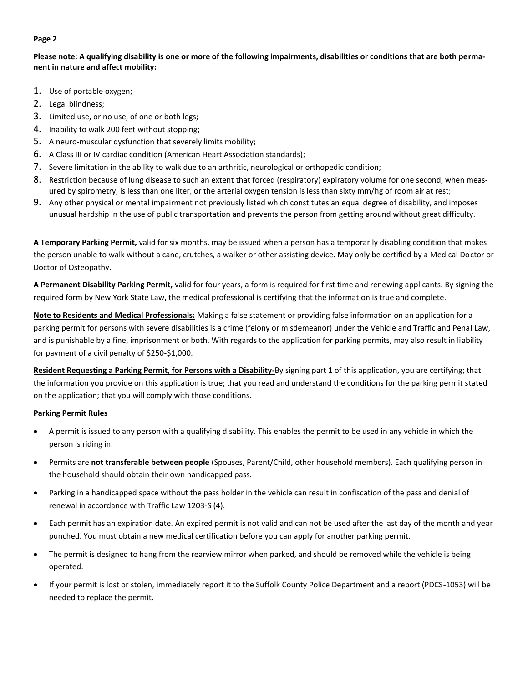#### **Page 2**

**Please note: A qualifying disability is one or more of the following impairments, disabilities or conditions that are both permanent in nature and affect mobility:**

- 1. Use of portable oxygen;
- 2. Legal blindness;
- 3. Limited use, or no use, of one or both legs;
- 4. Inability to walk 200 feet without stopping;
- 5. A neuro-muscular dysfunction that severely limits mobility;
- 6. A Class III or IV cardiac condition (American Heart Association standards);
- 7. Severe limitation in the ability to walk due to an arthritic, neurological or orthopedic condition;
- 8. Restriction because of lung disease to such an extent that forced (respiratory) expiratory volume for one second, when measured by spirometry, is less than one liter, or the arterial oxygen tension is less than sixty mm/hg of room air at rest;
- 9. Any other physical or mental impairment not previously listed which constitutes an equal degree of disability, and imposes unusual hardship in the use of public transportation and prevents the person from getting around without great difficulty.

**A Temporary Parking Permit,** valid for six months, may be issued when a person has a temporarily disabling condition that makes the person unable to walk without a cane, crutches, a walker or other assisting device. May only be certified by a Medical Doctor or Doctor of Osteopathy.

**A Permanent Disability Parking Permit,** valid for four years, a form is required for first time and renewing applicants. By signing the required form by New York State Law, the medical professional is certifying that the information is true and complete.

**Note to Residents and Medical Professionals:** Making a false statement or providing false information on an application for a parking permit for persons with severe disabilities is a crime (felony or misdemeanor) under the Vehicle and Traffic and Penal Law, and is punishable by a fine, imprisonment or both. With regards to the application for parking permits, may also result in liability for payment of a civil penalty of \$250-\$1,000.

**Resident Requesting a Parking Permit, for Persons with a Disability-**By signing part 1 of this application, you are certifying; that the information you provide on this application is true; that you read and understand the conditions for the parking permit stated on the application; that you will comply with those conditions.

#### **Parking Permit Rules**

- A permit is issued to any person with a qualifying disability. This enables the permit to be used in any vehicle in which the person is riding in.
- Permits are **not transferable between people** (Spouses, Parent/Child, other household members). Each qualifying person in the household should obtain their own handicapped pass.
- Parking in a handicapped space without the pass holder in the vehicle can result in confiscation of the pass and denial of renewal in accordance with Traffic Law 1203-S (4).
- Each permit has an expiration date. An expired permit is not valid and can not be used after the last day of the month and year punched. You must obtain a new medical certification before you can apply for another parking permit.
- The permit is designed to hang from the rearview mirror when parked, and should be removed while the vehicle is being operated.
- If your permit is lost or stolen, immediately report it to the Suffolk County Police Department and a report (PDCS-1053) will be needed to replace the permit.